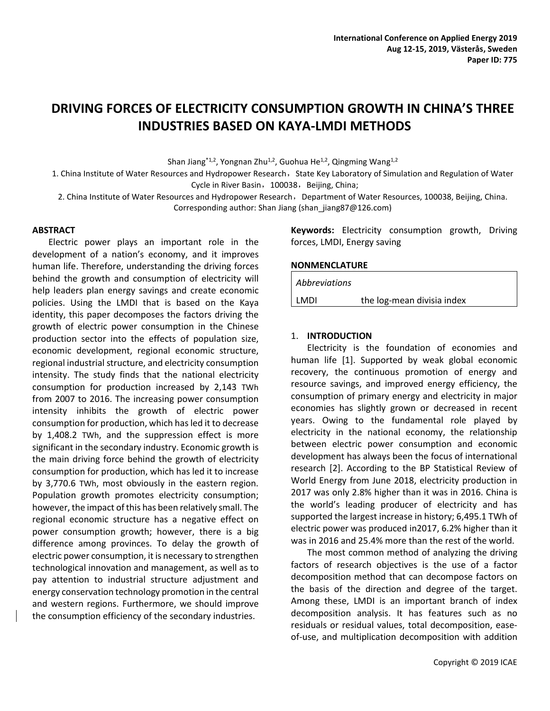# **DRIVING FORCES OF ELECTRICITY CONSUMPTION GROWTH IN CHINA'S THREE INDUSTRIES BASED ON KAYA-LMDI METHODS**

Shan Jiang<sup>\*1,2</sup>, Yongnan Zhu<sup>1,2</sup>, Guohua He<sup>1,2</sup>, Qingming Wang<sup>1,2</sup>

1. China Institute of Water Resources and Hydropower Research, State Key Laboratory of Simulation and Regulation of Water Cycle in River Basin, 100038, Beijing, China;

2. China Institute of Water Resources and Hydropower Research, Department of Water Resources, 100038, Beijing, China. Corresponding author: Shan Jiang (shan\_jiang87@126.com)

## **ABSTRACT**

Electric power plays an important role in the development of a nation's economy, and it improves human life. Therefore, understanding the driving forces behind the growth and consumption of electricity will help leaders plan energy savings and create economic policies. Using the LMDI that is based on the Kaya identity, this paper decomposes the factors driving the growth of electric power consumption in the Chinese production sector into the effects of population size, economic development, regional economic structure, regional industrial structure, and electricity consumption intensity. The study finds that the national electricity consumption for production increased by 2,143 TWh from 2007 to 2016. The increasing power consumption intensity inhibits the growth of electric power consumption for production, which has led it to decrease by 1,408.2 TWh, and the suppression effect is more significant in the secondary industry. Economic growth is the main driving force behind the growth of electricity consumption for production, which has led it to increase by 3,770.6 TWh, most obviously in the eastern region. Population growth promotes electricity consumption; however, the impact of this has been relatively small. The regional economic structure has a negative effect on power consumption growth; however, there is a big difference among provinces. To delay the growth of electric power consumption, it is necessary to strengthen technological innovation and management, as well as to pay attention to industrial structure adjustment and energy conservation technology promotion in the central and western regions. Furthermore, we should improve the consumption efficiency of the secondary industries.

**Keywords:** Electricity consumption growth, Driving forces, LMDI, Energy saving

## **NONMENCLATURE**

| Abbreviations |                            |
|---------------|----------------------------|
| LMDI          | the log-mean divisia index |

## 1. **INTRODUCTION**

Electricity is the foundation of economies and human life [1]. Supported by weak global economic recovery, the continuous promotion of energy and resource savings, and improved energy efficiency, the consumption of primary energy and electricity in major economies has slightly grown or decreased in recent years. Owing to the fundamental role played by electricity in the national economy, the relationship between electric power consumption and economic development has always been the focus of international research [2]. According to the BP Statistical Review of World Energy from June 2018, electricity production in 2017 was only 2.8% higher than it was in 2016. China is the world's leading producer of electricity and has supported the largest increase in history; 6,495.1 TWh of electric power was produced in2017, 6.2% higher than it was in 2016 and 25.4% more than the rest of the world.

The most common method of analyzing the driving factors of research objectives is the use of a factor decomposition method that can decompose factors on the basis of the direction and degree of the target. Among these, LMDI is an important branch of index decomposition analysis. It has features such as no residuals or residual values, total decomposition, easeof-use, and multiplication decomposition with addition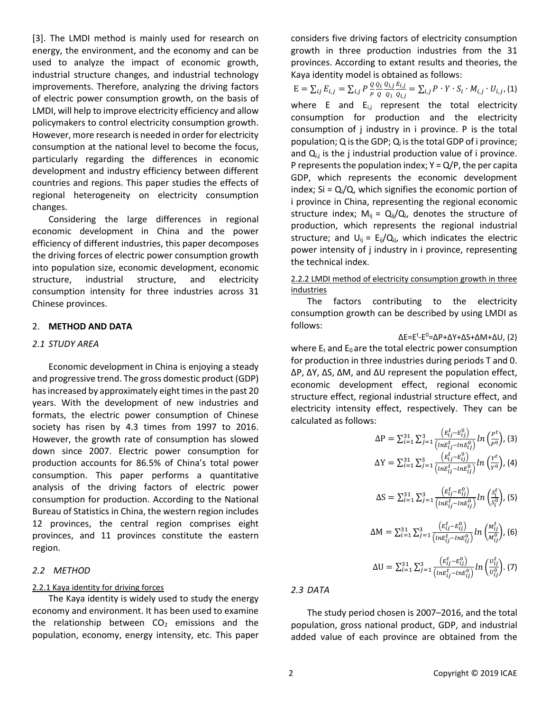[3]. The LMDI method is mainly used for research on energy, the environment, and the economy and can be used to analyze the impact of economic growth, industrial structure changes, and industrial technology improvements. Therefore, analyzing the driving factors of electric power consumption growth, on the basis of LMDI, will help to improve electricity efficiency and allow policymakers to control electricity consumption growth. However, more research is needed in order for electricity consumption at the national level to become the focus, particularly regarding the differences in economic development and industry efficiency between different countries and regions. This paper studies the effects of regional heterogeneity on electricity consumption changes.

Considering the large differences in regional economic development in China and the power efficiency of different industries, this paper decomposes the driving forces of electric power consumption growth into population size, economic development, economic structure, industrial structure, and electricity consumption intensity for three industries across 31 Chinese provinces.

## 2. **METHOD AND DATA**

#### *2.1 STUDY AREA*

Economic development in China is enjoying a steady and progressive trend. The gross domestic product (GDP) has increased by approximately eight times in the past 20 years. With the development of new industries and formats, the electric power consumption of Chinese society has risen by 4.3 times from 1997 to 2016. However, the growth rate of consumption has slowed down since 2007. Electric power consumption for production accounts for 86.5% of China's total power consumption. This paper performs a quantitative analysis of the driving factors of electric power consumption for production. According to the National Bureau of Statistics in China, the western region includes 12 provinces, the central region comprises eight provinces, and 11 provinces constitute the eastern region.

#### *2.2 METHOD*

#### 2.2.1 Kaya identity for driving forces

The Kaya identity is widely used to study the energy economy and environment. It has been used to examine the relationship between  $CO<sub>2</sub>$  emissions and the population, economy, energy intensity, etc. This paper considers five driving factors of electricity consumption growth in three production industries from the 31 provinces. According to extant results and theories, the Kaya identity model is obtained as follows:

 $E = \sum_{i,j} E_{i,j} = \sum_{i,j} P \frac{Q}{P}$  $_{ij} E_{i,j} = \sum_{i,j} P \frac{Q}{P} \frac{Q_i}{Q}$ Q  $Q_{i,j}$  $\varrho_{\it i}$  $E_{i,j}$  $\frac{E_{i,j}}{Q_{i,j}} = \sum_{i,j} P \cdot Y \cdot S_i \cdot M_{i,j} \cdot U_{i,j}$ , (1) where E and  $E_{i,j}$  represent the total electricity consumption for production and the electricity consumption of j industry in i province. P is the total population; Q is the GDP;  $Q_i$  is the total GDP of i province; and  $Q_{i,j}$  is the j industrial production value of i province. P represents the population index;  $Y = Q/P$ , the per capita GDP, which represents the economic development index;  $Si = Q_i/Q$ , which signifies the economic portion of i province in China, representing the regional economic structure index;  $M_{ij} = Q_{ij}/Q_{i}$ , denotes the structure of production, which represents the regional industrial structure; and  $U_{ij} = E_{ij}/Q_{ij}$ , which indicates the electric power intensity of j industry in i province, representing the technical index.

## 2.2.2 LMDI method of electricity consumption growth in three **industries**

The factors contributing to the electricity consumption growth can be described by using LMDI as follows:

ΔE=Ε<sup>t</sup>-Ε<sup>0</sup>=ΔP+ΔY+ΔS+ΔM+ΔU, (2)

where  $E_t$  and  $E_0$  are the total electric power consumption for production in three industries during periods T and 0. ΔP, ΔY, ΔS, ΔM, and ΔU represent the population effect, economic development effect, regional economic structure effect, regional industrial structure effect, and electricity intensity effect, respectively. They can be calculated as follows:

$$
\Delta P = \sum_{i=1}^{31} \sum_{j=1}^{3} \frac{\left(E_{ij}^{t} - E_{ij}^{0}\right)}{\left(nE_{ij}^{t} - nE_{ij}^{0}\right)} ln\left(\frac{P^{t}}{P^{0}}\right), (3)
$$
  
\n
$$
\Delta Y = \sum_{i=1}^{31} \sum_{j=1}^{3} \frac{\left(E_{ij}^{t} - E_{ij}^{0}\right)}{\left(nE_{ij}^{t} - nE_{ij}^{0}\right)} ln\left(\frac{Y^{t}}{Y^{0}}\right), (4)
$$

$$
\Delta S = \sum_{i=1}^{31} \sum_{j=1}^{3} \frac{\left( E_{ij}^{t} - E_{ij}^{0} \right)}{\left( \ln E_{ij}^{t} - \ln E_{ij}^{0} \right)} \ln \left( \frac{S_{i}^{t}}{S_{i}^{0}} \right), (5)
$$

$$
\Delta M = \sum_{i=1}^{31} \sum_{j=1}^{3} \frac{\left( E_{ij}^{t} - E_{ij}^{0} \right)}{\left( \ln E_{ij}^{t} - \ln E_{ij}^{0} \right)} \ln \left( \frac{M_{ij}^{t}}{M_{ij}^{0}} \right), (6)
$$

$$
\Delta U = \sum_{i=1}^{31} \sum_{j=1}^{3} \frac{\left( E_{ij}^{t} - E_{ij}^{0} \right)}{\left( \ln E_{ij}^{t} - \ln E_{ij}^{0} \right)} \ln \left( \frac{U_{ij}^{t}}{U_{ij}^{0}} \right). (7)
$$

*2.3 DATA*

The study period chosen is 2007–2016, and the total population, gross national product, GDP, and industrial added value of each province are obtained from the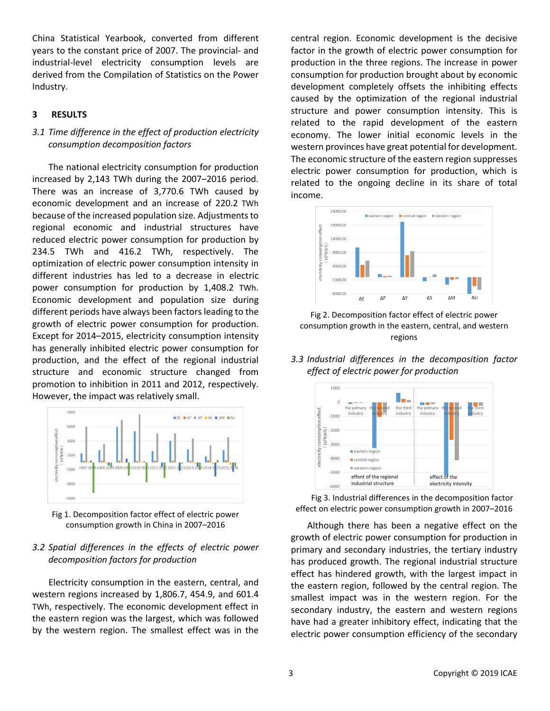China Statistical Yearbook, converted from different years to the constant price of 2007. The provincial- and industrial-level electricity consumption levels are derived from the Compilation of Statistics on the Power Industry.

# **3 RESULTS**

# *3.1 Time difference in the effect of production electricity consumption decomposition factors*

The national electricity consumption for production increased by 2,143 TWh during the 2007–2016 period. There was an increase of 3,770.6 TWh caused by economic development and an increase of 220.2 TWh because of the increased population size. Adjustments to regional economic and industrial structures have reduced electric power consumption for production by 234.5 TWh and 416.2 TWh, respectively. The optimization of electric power consumption intensity in different industries has led to a decrease in electric power consumption for production by 1,408.2 TWh. Economic development and population size during different periods have always been factors leading to the growth of electric power consumption for production. Except for 2014–2015, electricity consumption intensity has generally inhibited electric power consumption for production, and the effect of the regional industrial structure and economic structure changed from promotion to inhibition in 2011 and 2012, respectively. However, the impact was relatively small.



Fig 1. Decomposition factor effect of electric power consumption growth in China in 2007–2016

# *3.2 Spatial differences in the effects of electric power decomposition factors for production*

Electricity consumption in the eastern, central, and western regions increased by 1,806.7, 454.9, and 601.4 TWh, respectively. The economic development effect in the eastern region was the largest, which was followed by the western region. The smallest effect was in the central region. Economic development is the decisive factor in the growth of electric power consumption for production in the three regions. The increase in power consumption for production brought about by economic development completely offsets the inhibiting effects caused by the optimization of the regional industrial structure and power consumption intensity. This is related to the rapid development of the eastern economy. The lower initial economic levels in the western provinces have great potential for development. The economic structure of the eastern region suppresses electric power consumption for production, which is related to the ongoing decline in its share of total income.



Fig 2. Decomposition factor effect of electric power consumption growth in the eastern, central, and western regions

*3.3 Industrial differences in the decomposition factor effect of electric power for production*



Fig 3. Industrial differences in the decomposition factor effect on electric power consumption growth in 2007–2016

Although there has been a negative effect on the growth of electric power consumption for production in primary and secondary industries, the tertiary industry has produced growth. The regional industrial structure effect has hindered growth, with the largest impact in the eastern region, followed by the central region. The smallest impact was in the western region. For the secondary industry, the eastern and western regions have had a greater inhibitory effect, indicating that the electric power consumption efficiency of the secondary